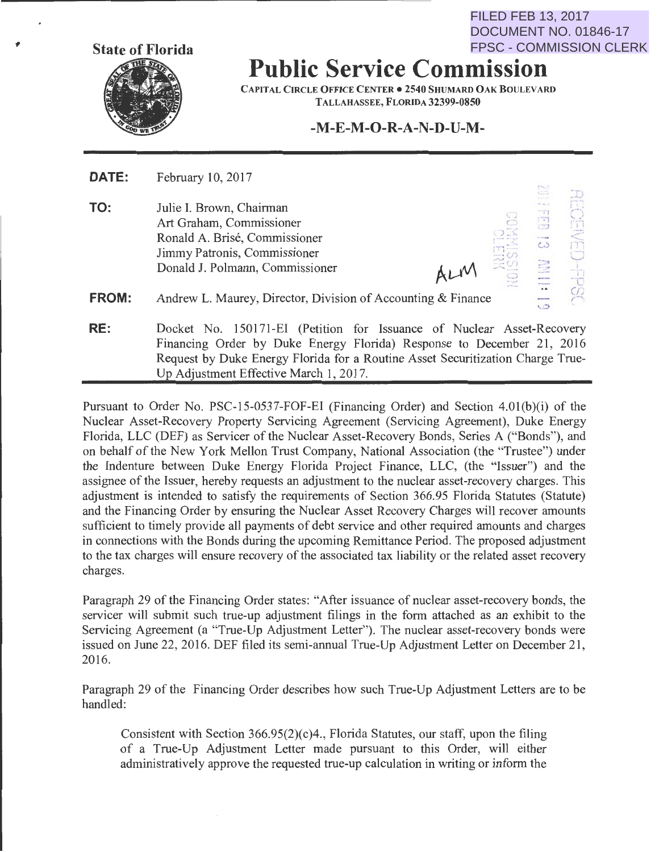**State of Florida** 

**Public Service Commission**  FPSC - COMMISSION CLERK

CAPITAL CIRCLE OFFICE CENTER • 2540 SHUMARD OAK BOULEVARD TALLAHASSEE, FLORIDA 32399-0850

**-M-E-M-0-R-A-N-D-U-M-**

 $\equiv$   $\pm$ 

 $\frac{1}{2}$  $\mathbb{C}$  . I I

 $\frac{1}{\tau_1}$ . ·"l .J

FILED FEB 13, 2017

DOCUMENT NO. 01846-17

:-,

 $\epsilon$ 

**DATE:** February 10, 2017

**TO:**  Julie I. Brown, Chairman Art Graham, Commissioner Ronald A. Brise, Commissioner Jimmy Patronis, Commissioner Donald J. Polmann, Commissioner

**FROM:**  Andrew L. Maurey, Director, Division of Accounting & Finance

**RE:** Docket No. 150171-EI (Petition for Issuance of Nuclear Asset-Recovery Financing Order by Duke Energy Florida) Response to December 21, 2016 Request by Duke Energy Florida for a Routine Asset Securitization Charge True-Up Adjustment Effective March 1, 2017.

Pursuant to Order No. PSC-15-0537-FOF-EI (Financing Order) and Section 4.01(b)(i) of the Nuclear Asset-Recovery Property Servicing Agreement (Servicing Agreement), Duke Energy Florida, LLC (DEF) as Servicer of the Nuclear Asset-Recovery Bonds, Series A ("Bonds"), and on behalf of the New York Mellon Trust Company, National Association (the "Trustee") under the Indenture between Duke Energy Florida Project Finance, LLC, (the "Issuer") and the assignee of the Issuer, hereby requests an adjustment to the nuclear asset-recovery charges. This adjustment is intended to satisfy the requirements of Section 366.95 Florida Statutes (Statute) and the Financing Order by ensuring the Nuclear Asset Recovery Charges will recover amounts sufficient to timely provide all payments of debt service and other required amounts and charges in connections with the Bonds during the upcoming Remittance Period. The proposed adjustment to the tax charges will ensure recovery of the associated tax liability or the related asset recovery charges.

Paragraph 29 of the Financing Order states: "After issuance of nuclear asset-recovery bonds, the servicer will submit such true-up adjustment filings in the form attached as an exhibit to the Servicing Agreement (a "True-Up Adjustment Letter"). The nuclear asset-recovery bonds were issued on June 22, 2016. DEF filed its semi-annual True-Up Adjustment Letter on December 21, 2016.

Paragraph 29 of the Financing Order describes how such True-Up Adjustment Letters are to be handled:

Consistent with Section 366.95(2)(c)4., Florida Statutes, our staff, upon the filing of a True-Up Adjustment Letter made pursuant to this Order, will either administratively approve the requested true-up calculation in writing or inform the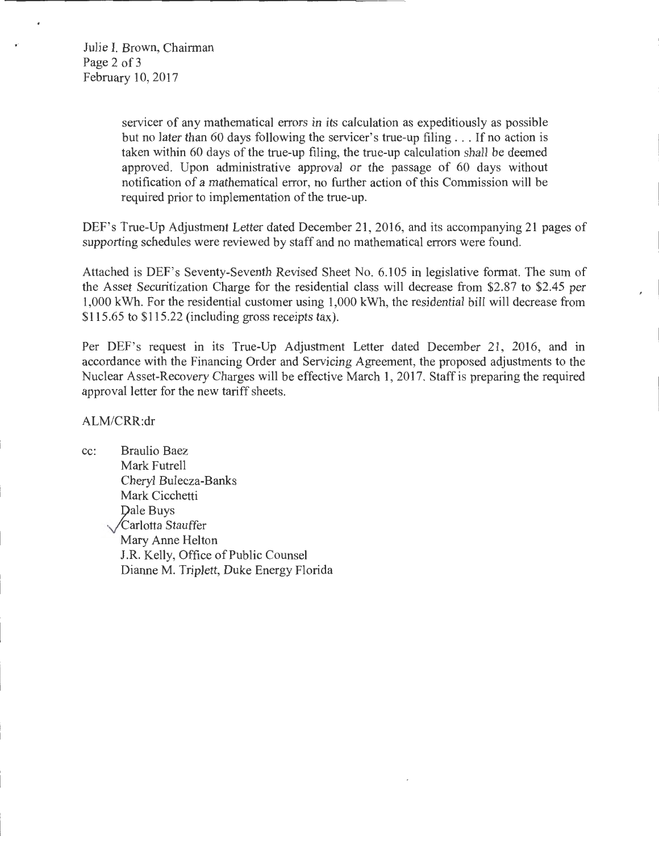Julie I. Brown, Chairman Page 2 of 3 February 10,2017

> servicer of any mathematical errors in its calculation as expeditiously as possible but no later than 60 days following the servicer's true-up filing ... If no action is taken within 60 days of the true-up filing, the true-up calculation shall be deemed approved. Upon administrative approval or the passage of 60 days without notification of a mathematical error, no further action of this Commission will be required prior to implementation of the true-up.

DEF's True-Up Adjustment Letter dated December 21, 2016, and its accompanying 21 pages of supporting schedules were reviewed by staff and no mathematical errors were found.

Attached is DEF's Seventy-Seventh Revised Sheet No. 6.105 in legislative format. The sum of the Asset Securitization Charge for the residential class will decrease from \$2.87 to \$2.45 per 1,000 kWh. For the residential customer using 1,000 kWh, the residential bill will decrease from \$115.65 to \$115.22 (including gross receipts tax).

Per DEF's request in its True-Up Adjustment Letter dated December 21, 2016, and in accordance with the Financing Order and Servicing Agreement, the proposed adjustments to the Nuclear Asset-Recovery Charges will be effective March 1, 2017. Staff is preparing the required approval letter for the new tariff sheets.

ALM/CRR:dr

cc: Braulio Baez Mark Futrell Cheryl Bulecza-Banks Mark Cicchetti Dale Buys .y'Carlotta Stauffer Mary Anne Helton J.R. Kelly, Office of Public Counsel Dianne M. Triplett, Duke Energy Florida